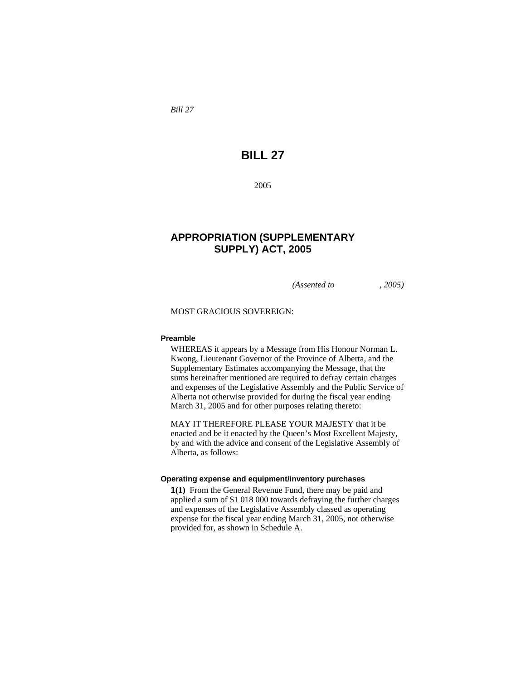*Bill 27* 

# **BILL 27**

2005

## **APPROPRIATION (SUPPLEMENTARY SUPPLY) ACT, 2005**

*(Assented to , 2005)* 

MOST GRACIOUS SOVEREIGN:

#### **Preamble**

WHEREAS it appears by a Message from His Honour Norman L. Kwong, Lieutenant Governor of the Province of Alberta, and the Supplementary Estimates accompanying the Message, that the sums hereinafter mentioned are required to defray certain charges and expenses of the Legislative Assembly and the Public Service of Alberta not otherwise provided for during the fiscal year ending March 31, 2005 and for other purposes relating thereto:

MAY IT THEREFORE PLEASE YOUR MAJESTY that it be enacted and be it enacted by the Queen's Most Excellent Majesty, by and with the advice and consent of the Legislative Assembly of Alberta, as follows:

### **Operating expense and equipment/inventory purchases**

**1(1)** From the General Revenue Fund, there may be paid and applied a sum of \$1 018 000 towards defraying the further charges and expenses of the Legislative Assembly classed as operating expense for the fiscal year ending March 31, 2005, not otherwise provided for, as shown in Schedule A.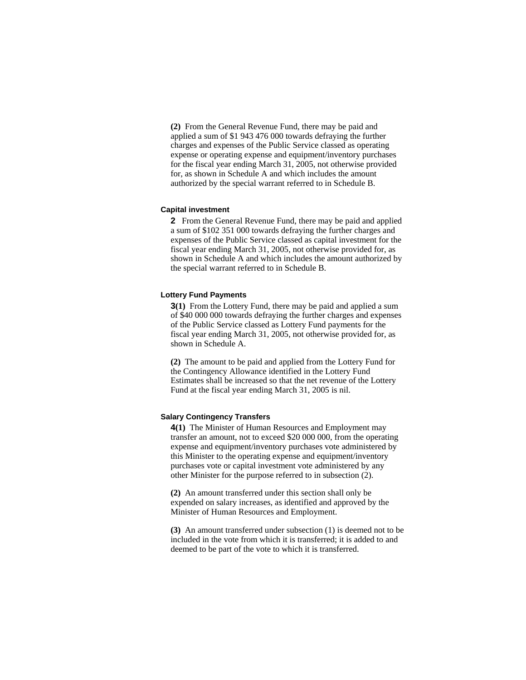**(2)** From the General Revenue Fund, there may be paid and applied a sum of \$1 943 476 000 towards defraying the further charges and expenses of the Public Service classed as operating expense or operating expense and equipment/inventory purchases for the fiscal year ending March 31, 2005, not otherwise provided for, as shown in Schedule A and which includes the amount authorized by the special warrant referred to in Schedule B.

#### **Capital investment**

**2** From the General Revenue Fund, there may be paid and applied a sum of \$102 351 000 towards defraying the further charges and expenses of the Public Service classed as capital investment for the fiscal year ending March 31, 2005, not otherwise provided for, as shown in Schedule A and which includes the amount authorized by the special warrant referred to in Schedule B.

#### **Lottery Fund Payments**

**3(1)** From the Lottery Fund, there may be paid and applied a sum of \$40 000 000 towards defraying the further charges and expenses of the Public Service classed as Lottery Fund payments for the fiscal year ending March 31, 2005, not otherwise provided for, as shown in Schedule A.

**(2)** The amount to be paid and applied from the Lottery Fund for the Contingency Allowance identified in the Lottery Fund Estimates shall be increased so that the net revenue of the Lottery Fund at the fiscal year ending March 31, 2005 is nil.

#### **Salary Contingency Transfers**

**4(1)** The Minister of Human Resources and Employment may transfer an amount, not to exceed \$20 000 000, from the operating expense and equipment/inventory purchases vote administered by this Minister to the operating expense and equipment/inventory purchases vote or capital investment vote administered by any other Minister for the purpose referred to in subsection (2).

**(2)** An amount transferred under this section shall only be expended on salary increases, as identified and approved by the Minister of Human Resources and Employment.

**(3)** An amount transferred under subsection (1) is deemed not to be included in the vote from which it is transferred; it is added to and deemed to be part of the vote to which it is transferred.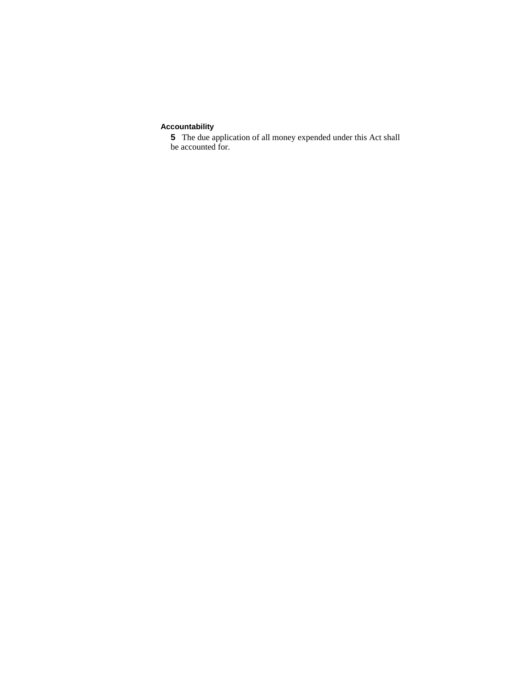## **Accountability**

**5** The due application of all money expended under this Act shall be accounted for.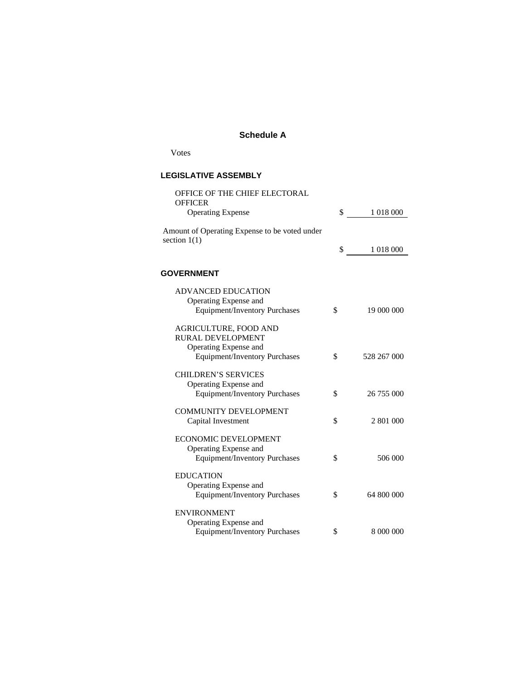### **Schedule A**

Votes

### **LEGISLATIVE ASSEMBLY**

| OFFICE OF THE CHIEF ELECTORAL<br><b>OFFICER</b>                                              |                   |
|----------------------------------------------------------------------------------------------|-------------------|
| <b>Operating Expense</b>                                                                     | \$<br>1 018 000   |
| Amount of Operating Expense to be voted under<br>section $1(1)$                              |                   |
|                                                                                              | \$<br>1 018 000   |
| <b>GOVERNMENT</b>                                                                            |                   |
| <b>ADVANCED EDUCATION</b><br>Operating Expense and<br><b>Equipment/Inventory Purchases</b>   | \$<br>19 000 000  |
| AGRICULTURE, FOOD AND<br>RURAL DEVELOPMENT<br>Operating Expense and                          |                   |
| <b>Equipment/Inventory Purchases</b>                                                         | \$<br>528 267 000 |
| <b>CHILDREN'S SERVICES</b><br>Operating Expense and<br><b>Equipment/Inventory Purchases</b>  | \$<br>26 755 000  |
| <b>COMMUNITY DEVELOPMENT</b><br>Capital Investment                                           | \$<br>2 801 000   |
| <b>ECONOMIC DEVELOPMENT</b><br>Operating Expense and<br><b>Equipment/Inventory Purchases</b> | \$<br>506 000     |
| <b>EDUCATION</b><br>Operating Expense and<br>Equipment/Inventory Purchases                   | \$<br>64 800 000  |
| <b>ENVIRONMENT</b><br>Operating Expense and<br>Equipment/Inventory Purchases                 | \$<br>8 000 000   |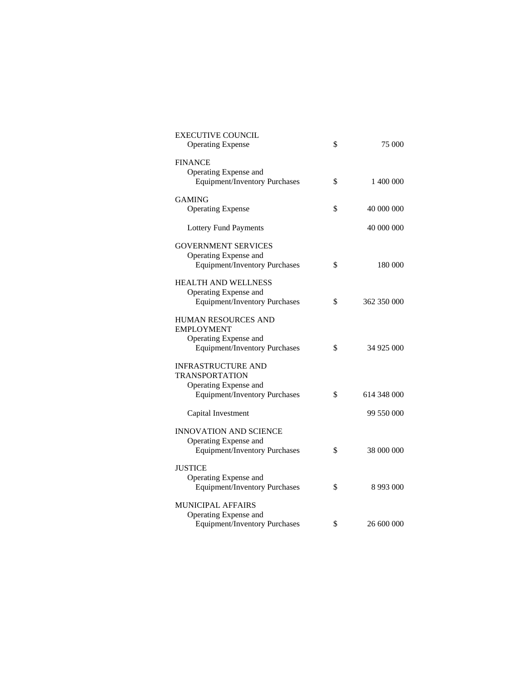| EXECUTIVE COUNCIL<br><b>Operating Expense</b> | \$<br>75 000        |
|-----------------------------------------------|---------------------|
| <b>FINANCE</b>                                |                     |
| Operating Expense and                         |                     |
| <b>Equipment/Inventory Purchases</b>          | \$<br>1 400 000     |
| GAMING                                        |                     |
| <b>Operating Expense</b>                      | \$<br>40 000 000    |
| <b>Lottery Fund Payments</b>                  | 40 000 000          |
| <b>GOVERNMENT SERVICES</b>                    |                     |
| Operating Expense and                         |                     |
| <b>Equipment/Inventory Purchases</b>          | \$<br>180 000       |
| <b>HEALTH AND WELLNESS</b>                    |                     |
| Operating Expense and                         |                     |
| <b>Equipment/Inventory Purchases</b>          | \$<br>362 350 000   |
| HUMAN RESOURCES AND                           |                     |
| <b>EMPLOYMENT</b>                             |                     |
| Operating Expense and                         |                     |
| <b>Equipment/Inventory Purchases</b>          | \$<br>34 925 000    |
| <b>INFRASTRUCTURE AND</b>                     |                     |
| <b>TRANSPORTATION</b>                         |                     |
| Operating Expense and                         |                     |
| <b>Equipment/Inventory Purchases</b>          | \$<br>614 348 000   |
| Capital Investment                            | 99 550 000          |
| <b>INNOVATION AND SCIENCE</b>                 |                     |
| Operating Expense and                         |                     |
| <b>Equipment/Inventory Purchases</b>          | \$<br>38 000 000    |
| <b>JUSTICE</b>                                |                     |
| Operating Expense and                         |                     |
| <b>Equipment/Inventory Purchases</b>          | \$<br>8 9 9 3 0 0 0 |
| <b>MUNICIPAL AFFAIRS</b>                      |                     |
| Operating Expense and                         |                     |
| <b>Equipment/Inventory Purchases</b>          | \$<br>26 600 000    |
|                                               |                     |